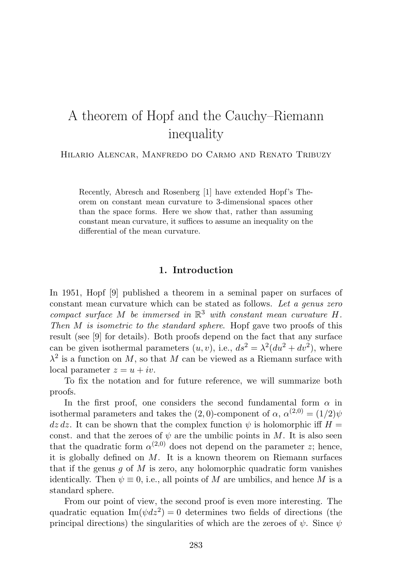# A theorem of Hopf and the Cauchy–Riemann inequality

Hilario Alencar, Manfredo do Carmo and Renato Tribuzy

Recently, Abresch and Rosenberg [1] have extended Hopf's Theorem on constant mean curvature to 3-dimensional spaces other than the space forms. Here we show that, rather than assuming constant mean curvature, it suffices to assume an inequality on the differential of the mean curvature.

## **1. Introduction**

In 1951, Hopf [9] published a theorem in a seminal paper on surfaces of constant mean curvature which can be stated as follows. Let a genus zero compact surface M be immersed in  $\mathbb{R}^3$  with constant mean curvature H. Then M is isometric to the standard sphere. Hopf gave two proofs of this result (see [9] for details). Both proofs depend on the fact that any surface can be given isothermal parameters  $(u, v)$ , i.e.,  $ds^2 = \lambda^2(du^2 + dv^2)$ , where  $\lambda^2$  is a function on M, so that M can be viewed as a Riemann surface with local parameter  $z = u + iv$ .

To fix the notation and for future reference, we will summarize both proofs.

In the first proof, one considers the second fundamental form  $\alpha$  in isothermal parameters and takes the (2,0)-component of  $\alpha$ ,  $\alpha^{(2,0)} = (1/2)\psi$  $dz\,dz$ . It can be shown that the complex function  $\psi$  is holomorphic iff  $H =$ const. and that the zeroes of  $\psi$  are the umbilic points in M. It is also seen that the quadratic form  $\alpha^{(2,0)}$  does not depend on the parameter z; hence, it is globally defined on  $M$ . It is a known theorem on Riemann surfaces that if the genus  $q$  of  $M$  is zero, any holomorphic quadratic form vanishes identically. Then  $\psi \equiv 0$ , i.e., all points of M are umbilics, and hence M is a standard sphere.

From our point of view, the second proof is even more interesting. The quadratic equation  $\text{Im}(\psi dz^2) = 0$  determines two fields of directions (the principal directions) the singularities of which are the zeroes of  $\psi$ . Since  $\psi$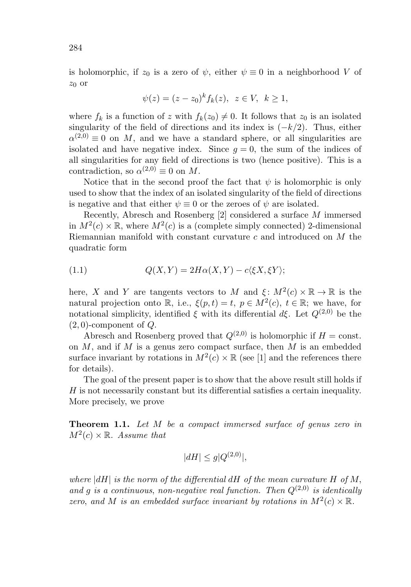is holomorphic, if  $z_0$  is a zero of  $\psi$ , either  $\psi \equiv 0$  in a neighborhood V of  $z_0$  or

$$
\psi(z) = (z - z_0)^k f_k(z), \ z \in V, \ k \ge 1,
$$

where  $f_k$  is a function of z with  $f_k(z_0) \neq 0$ . It follows that  $z_0$  is an isolated singularity of the field of directions and its index is  $(-k/2)$ . Thus, either  $\alpha^{(2,0)} \equiv 0$  on M, and we have a standard sphere, or all singularities are isolated and have negative index. Since  $g = 0$ , the sum of the indices of all singularities for any field of directions is two (hence positive). This is a contradiction, so  $\alpha^{(2,0)} \equiv 0$  on M.

Notice that in the second proof the fact that  $\psi$  is holomorphic is only used to show that the index of an isolated singularity of the field of directions is negative and that either  $\psi \equiv 0$  or the zeroes of  $\psi$  are isolated.

Recently, Abresch and Rosenberg [2] considered a surface M immersed in  $M^2(c) \times \mathbb{R}$ , where  $M^2(c)$  is a (complete simply connected) 2-dimensional Riemannian manifold with constant curvature  $c$  and introduced on  $M$  the quadratic form

(1.1) 
$$
Q(X,Y) = 2H\alpha(X,Y) - c\langle \xi X, \xi Y \rangle;
$$

here, X and Y are tangents vectors to M and  $\xi: M^2(c) \times \mathbb{R} \to \mathbb{R}$  is the natural projection onto R, i.e.,  $\xi(p,t) = t$ ,  $p \in M^2(c)$ ,  $t \in \mathbb{R}$ ; we have, for notational simplicity, identified  $\xi$  with its differential  $d\xi$ . Let  $Q^{(2,0)}$  be the  $(2, 0)$ -component of  $Q$ .

Abresch and Rosenberg proved that  $Q^{(2,0)}$  is holomorphic if  $H = \text{const.}$ on  $M$ , and if  $M$  is a genus zero compact surface, then  $M$  is an embedded surface invariant by rotations in  $M^2(c) \times \mathbb{R}$  (see [1] and the references there for details).

The goal of the present paper is to show that the above result still holds if H is not necessarily constant but its differential satisfies a certain inequality. More precisely, we prove

**Theorem 1.1.** Let M be a compact immersed surface of genus zero in  $M^2(c) \times \mathbb{R}$ . Assume that

$$
|dH| \le g|Q^{(2,0)}|,
$$

where  $|dH|$  is the norm of the differential  $dH$  of the mean curvature H of M, and g is a continuous, non-negative real function. Then  $Q^{(2,0)}$  is identically zero, and M is an embedded surface invariant by rotations in  $M^2(c) \times \mathbb{R}$ .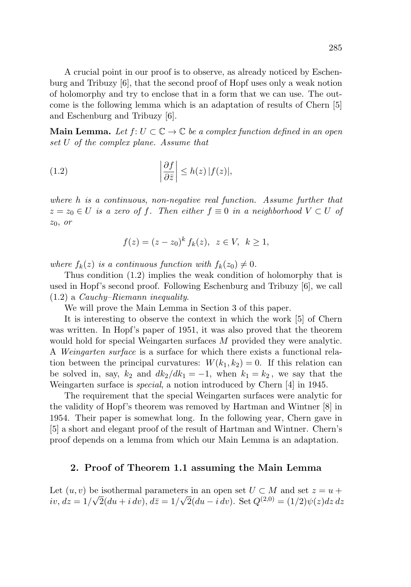A crucial point in our proof is to observe, as already noticed by Eschenburg and Tribuzy [6], that the second proof of Hopf uses only a weak notion of holomorphy and try to enclose that in a form that we can use. The outcome is the following lemma which is an adaptation of results of Chern [5] and Eschenburg and Tribuzy [6].

**Main Lemma.** Let  $f: U \subset \mathbb{C} \to \mathbb{C}$  be a complex function defined in an open set U of the complex plane. Assume that

(1.2) 
$$
\left|\frac{\partial f}{\partial \bar{z}}\right| \leq h(z) |f(z)|,
$$

where h is a continuous, non-negative real function. Assume further that  $z = z_0 \in U$  is a zero of f. Then either  $f \equiv 0$  in a neighborhood  $V \subset U$  of  $z_0$ , or

$$
f(z) = (z - z_0)^k f_k(z), \ z \in V, \ k \ge 1,
$$

where  $f_k(z)$  is a continuous function with  $f_k(z_0) \neq 0$ .

Thus condition (1.2) implies the weak condition of holomorphy that is used in Hopf's second proof. Following Eschenburg and Tribuzy [6], we call (1.2) a Cauchy–Riemann inequality.

We will prove the Main Lemma in Section 3 of this paper.

It is interesting to observe the context in which the work [5] of Chern was written. In Hopf's paper of 1951, it was also proved that the theorem would hold for special Weingarten surfaces M provided they were analytic. A Weingarten surface is a surface for which there exists a functional relation between the principal curvatures:  $W(k_1, k_2) = 0$ . If this relation can be solved in, say,  $k_2$  and  $dk_2/dk_1 = -1$ , when  $k_1 = k_2$ , we say that the Weingarten surface is special, a notion introduced by Chern [4] in 1945.

The requirement that the special Weingarten surfaces were analytic for the validity of Hopf's theorem was removed by Hartman and Wintner [8] in 1954. Their paper is somewhat long. In the following year, Chern gave in [5] a short and elegant proof of the result of Hartman and Wintner. Chern's proof depends on a lemma from which our Main Lemma is an adaptation.

#### **2. Proof of Theorem 1.1 assuming the Main Lemma**

Let  $(u, v)$  be isothermal parameters in an open set  $U \subset M$  and set  $z = u +$ Let  $(u, v)$  be isomerinal parameters in an open set  $\partial \subset M$  and set  $z = u + iv$ ,  $dz = 1/\sqrt{2}(du + i dv)$ ,  $d\overline{z} = 1/\sqrt{2}(du - i dv)$ . Set  $Q^{(2,0)} = (1/2)\psi(z)dz dz$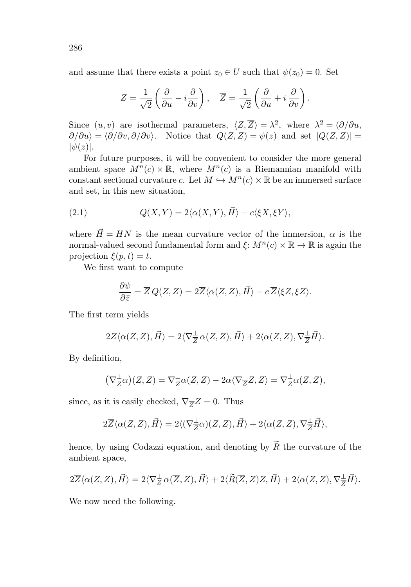and assume that there exists a point  $z_0 \in U$  such that  $\psi(z_0) = 0$ . Set

$$
Z = \frac{1}{\sqrt{2}} \left( \frac{\partial}{\partial u} - i \frac{\partial}{\partial v} \right), \quad \overline{Z} = \frac{1}{\sqrt{2}} \left( \frac{\partial}{\partial u} + i \frac{\partial}{\partial v} \right).
$$

Since  $(u, v)$  are isothermal parameters,  $\langle Z, \overline{Z} \rangle = \lambda^2$ , where  $\lambda^2 = \langle \partial / \partial u, \overline{\partial} \rangle$  $\partial/\partial u\rangle = \langle \partial/\partial v, \partial/\partial v\rangle$ . Notice that  $Q(Z, Z) = \psi(z)$  and set  $|Q(Z, Z)| =$  $|\psi(z)|$ .

For future purposes, it will be convenient to consider the more general ambient space  $M^n(c) \times \mathbb{R}$ , where  $M^n(c)$  is a Riemannian manifold with constant sectional curvature c. Let  $M \hookrightarrow M^n(c) \times \mathbb{R}$  be an immersed surface and set, in this new situation,

(2.1) 
$$
Q(X,Y) = 2\langle \alpha(X,Y),\vec{H}\rangle - c\langle \xi X,\xi Y\rangle,
$$

where  $\vec{H} = HN$  is the mean curvature vector of the immersion,  $\alpha$  is the normal-valued second fundamental form and  $\xi: M^{n}(c) \times \mathbb{R} \to \mathbb{R}$  is again the projection  $\xi(p,t) = t$ .

We first want to compute

$$
\frac{\partial \psi}{\partial \bar{z}} = \overline{Z} Q(Z, Z) = 2\overline{Z} \langle \alpha(Z, Z), \vec{H} \rangle - c \, \overline{Z} \langle \xi Z, \xi Z \rangle.
$$

The first term yields

$$
2\overline{Z}\langle \alpha(Z,Z),\vec{H}\rangle=2\langle \nabla_{\overline{Z}}^{\perp}\alpha(Z,Z),\vec{H}\rangle+2\langle \alpha(Z,Z),\nabla_{\overline{Z}}^{\perp}\vec{H}\rangle.
$$

By definition,

$$
(\nabla_{\overline{Z}}^{\perp}\alpha)(Z,Z)=\nabla_{\overline{Z}}^{\perp}\alpha(Z,Z)-2\alpha\langle\nabla_{\overline{Z}}Z,Z\rangle=\nabla_{\overline{Z}}^{\perp}\alpha(Z,Z),
$$

since, as it is easily checked,  $\nabla_{\overline{Z}}Z = 0$ . Thus

$$
2\overline{Z}\langle \alpha(Z,Z),\vec{H}\rangle=2\langle (\nabla_{\overline{Z}}^{\perp}\alpha)(Z,Z),\vec{H}\rangle+2\langle \alpha(Z,Z),\nabla_{\overline{Z}}^{\perp}\vec{H}\rangle,
$$

hence, by using Codazzi equation, and denoting by  $\widetilde{R}$  the curvature of the ambient space,

$$
2\overline{Z}\langle \alpha(Z,Z),\vec{H}\rangle=2\langle \nabla_Z^{\perp}\alpha(\overline{Z},Z),\vec{H}\rangle+2\langle \widetilde{R}(\overline{Z},Z)Z,\vec{H}\rangle+2\langle \alpha(Z,Z),\nabla_{\overline{Z}}^{\perp}\vec{H}\rangle.
$$

We now need the following.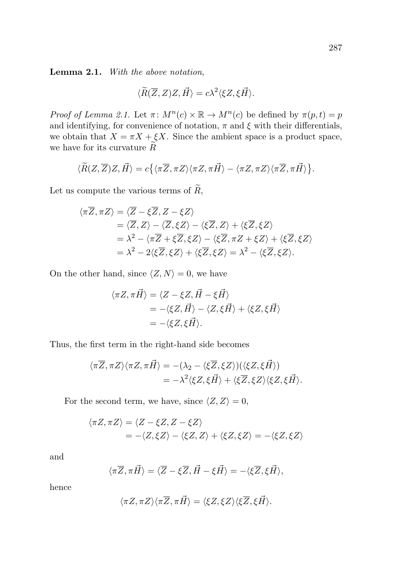**Lemma 2.1.** With the above notation,

$$
\langle \widetilde{R}(\overline{Z},Z)Z,\vec{H}\rangle=c\lambda^2\langle \xi Z,\xi\vec{H}\rangle.
$$

Proof of Lemma 2.1. Let  $\pi\colon M^n(c)\times \mathbb{R} \to M^n(c)$  be defined by  $\pi(p,t)=p$ and identifying, for convenience of notation,  $\pi$  and  $\xi$  with their differentials, we obtain that  $X = \pi X + \xi X$ . Since the ambient space is a product space, we have for its curvature  $R$ 

$$
\langle \widetilde{R}(Z,\overline{Z})Z,\vec{H}\rangle=c\big\{\langle \pi \overline{Z},\pi Z\rangle \langle \pi Z,\pi \vec{H}\rangle-\langle \pi Z,\pi Z\rangle \langle \pi \overline{Z},\pi \vec{H}\rangle\big\}.
$$

Let us compute the various terms of  $\widetilde{R}$ ,

$$
\langle \pi \overline{Z}, \pi Z \rangle = \langle \overline{Z} - \xi \overline{Z}, Z - \xi Z \rangle
$$
  
\n
$$
= \langle \overline{Z}, Z \rangle - \langle \overline{Z}, \xi Z \rangle - \langle \xi \overline{Z}, Z \rangle + \langle \xi \overline{Z}, \xi Z \rangle
$$
  
\n
$$
= \lambda^2 - \langle \pi \overline{Z} + \xi \overline{Z}, \xi Z \rangle - \langle \xi \overline{Z}, \pi Z + \xi Z \rangle + \langle \xi \overline{Z}, \xi Z \rangle
$$
  
\n
$$
= \lambda^2 - 2 \langle \xi \overline{Z}, \xi Z \rangle + \langle \xi \overline{Z}, \xi Z \rangle = \lambda^2 - \langle \xi \overline{Z}, \xi Z \rangle.
$$

On the other hand, since  $\langle Z,N\rangle=0$ , we have

$$
\langle \pi Z, \pi \vec{H} \rangle = \langle Z - \xi Z, \vec{H} - \xi \vec{H} \rangle
$$
  
= -\langle \xi Z, \vec{H} \rangle - \langle Z, \xi \vec{H} \rangle + \langle \xi Z, \xi \vec{H} \rangle  
= -\langle \xi Z, \xi \vec{H} \rangle.

Thus, the first term in the right-hand side becomes

$$
\langle \pi \overline{Z}, \pi Z \rangle \langle \pi Z, \pi \overline{H} \rangle = -(\lambda_2 - \langle \xi \overline{Z}, \xi Z \rangle) (\langle \xi Z, \xi \overline{H} \rangle)
$$
  
=  $-\lambda^2 \langle \xi Z, \xi \overline{H} \rangle + \langle \xi \overline{Z}, \xi Z \rangle \langle \xi Z, \xi \overline{H} \rangle.$ 

For the second term, we have, since  $\langle Z,Z\rangle=0,$ 

$$
\langle \pi Z, \pi Z \rangle = \langle Z - \xi Z, Z - \xi Z \rangle
$$
  
= -\langle Z, \xi Z \rangle - \langle \xi Z, Z \rangle + \langle \xi Z, \xi Z \rangle = -\langle \xi Z, \xi Z \rangle

and

$$
\langle \pi \overline{Z}, \pi \overline{H} \rangle = \langle \overline{Z} - \xi \overline{Z}, \overline{H} - \xi \overline{H} \rangle = -\langle \xi \overline{Z}, \xi \overline{H} \rangle,
$$

hence

$$
\langle \pi Z, \pi Z\rangle \langle \pi \overline{Z}, \pi \overrightarrow{H}\rangle = \langle \xi Z, \xi Z\rangle \langle \xi \overline{Z}, \xi \overrightarrow{H}\rangle.
$$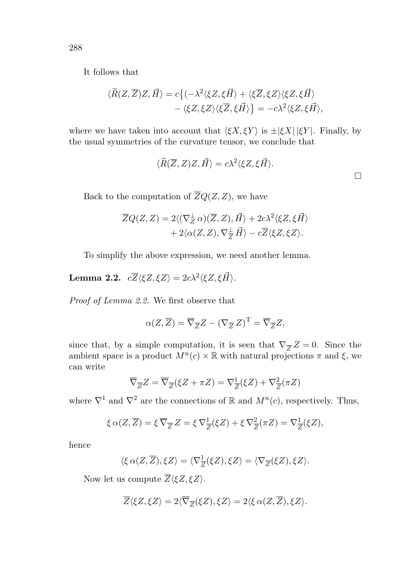It follows that

$$
\langle \widetilde{R}(Z,\overline{Z})Z,\vec{H}\rangle = c\{(-\lambda^2\langle \xi Z,\xi\vec{H}\rangle + \langle \xi \overline{Z},\xi Z\rangle\langle \xi Z,\xi\vec{H}\rangle - \langle \xi Z,\xi Z\rangle\langle \xi \overline{Z},\xi\vec{H}\rangle\} = -c\lambda^2\langle \xi Z,\xi\vec{H}\rangle,
$$

where we have taken into account that  $\langle \xi X, \xi Y \rangle$  is  $\pm |\xi X| |\xi Y|$ . Finally, by the usual symmetries of the curvature tensor, we conclude that

$$
\langle \widetilde{R}(\overline{Z}, Z)Z, \vec{H} \rangle = c\lambda^2 \langle \xi Z, \xi \vec{H} \rangle.
$$

Back to the computation of  $\overline{Z}Q(Z,Z)$ , we have

$$
\overline{Z}Q(Z,Z) = 2\langle (\nabla_Z^{\perp}\alpha)(\overline{Z},Z),\overrightarrow{H}\rangle + 2c\lambda^2\langle \xi Z,\xi\overrightarrow{H}\rangle + 2\langle \alpha(Z,Z),\nabla_{\overline{Z}}^{\perp}\overrightarrow{H}\rangle - c\overline{Z}\langle \xi Z,\xi Z\rangle.
$$

To simplify the above expression, we need another lemma.

**Lemma 2.2.**  $c\overline{Z}\langle \xi Z, \xi Z \rangle = 2c\lambda^2 \langle \xi Z, \xi \overrightarrow{H} \rangle$ .

Proof of Lemma 2.2. We first observe that

$$
\alpha(Z,\overline{Z}) = \overline{\nabla}_{\overline{Z}}Z - (\nabla_{\overline{Z}}Z)^{\mathrm{T}} = \overline{\nabla}_{\overline{Z}}Z,
$$

since that, by a simple computation, it is seen that  $\nabla_{\overline{Z}}Z = 0$ . Since the ambient space is a product  $M^n(c) \times \mathbb{R}$  with natural projections  $\pi$  and  $\xi$ , we can write

$$
\overline{\nabla}_{\overline{Z}}Z = \overline{\nabla}_{\overline{Z}}(\xi Z + \pi Z) = \nabla_{\overline{Z}}^1(\xi Z) + \nabla_{\overline{Z}}^2(\pi Z)
$$

where  $\nabla^1$  and  $\nabla^2$  are the connections of R and  $M^n(c)$ , respectively. Thus,

$$
\xi \alpha(Z, \overline{Z}) = \xi \overline{\nabla}_{\overline{Z}} Z = \xi \nabla^1_{\overline{Z}} (\xi Z) + \xi \nabla^2_{\overline{Z}} (\pi Z) = \nabla^1_{\overline{Z}} (\xi Z),
$$

hence

$$
\langle \xi \alpha(Z, \overline{Z}), \xi Z \rangle = \langle \nabla_{\overline{Z}}^1(\xi Z), \xi Z \rangle = \langle \nabla_{\overline{Z}}(\xi Z), \xi Z \rangle.
$$

Now let us compute  $\overline{Z}\langle \xi Z, \xi Z \rangle$ .

$$
\overline{Z}\langle \xi Z, \xi Z \rangle = 2\langle \overline{\nabla}_{\overline{Z}}(\xi Z), \xi Z \rangle = 2\langle \xi \alpha(Z, \overline{Z}), \xi Z \rangle.
$$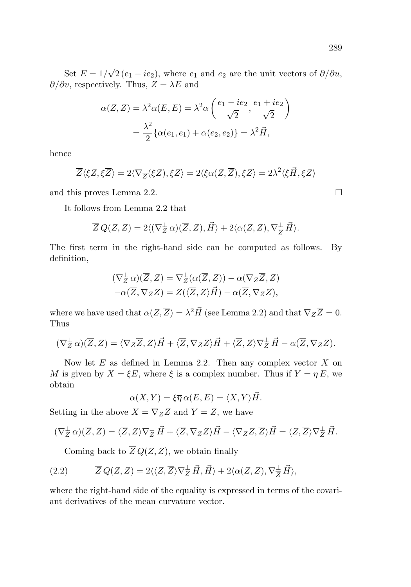Set  $E = 1/\sqrt{2} (e_1 - ie_2)$ , where  $e_1$  and  $e_2$  are the unit vectors of  $\partial/\partial u$ ,  $\partial/\partial v$ , respectively. Thus,  $Z = \lambda E$  and

$$
\alpha(Z,\overline{Z}) = \lambda^2 \alpha(E,\overline{E}) = \lambda^2 \alpha \left( \frac{e_1 - ie_2}{\sqrt{2}}, \frac{e_1 + ie_2}{\sqrt{2}} \right)
$$

$$
= \frac{\lambda^2}{2} \{ \alpha(e_1, e_1) + \alpha(e_2, e_2) \} = \lambda^2 \vec{H},
$$

hence

$$
\overline{Z}\langle \xi Z, \xi \overline{Z} \rangle = 2\langle \nabla_{\overline{Z}}(\xi Z), \xi Z \rangle = 2\langle \xi \alpha(Z, \overline{Z}), \xi Z \rangle = 2\lambda^2 \langle \xi \vec{H}, \xi Z \rangle
$$

and this proves Lemma 2.2.

It follows from Lemma 2.2 that

$$
\overline{Z}\,Q(Z,Z) = 2\langle (\nabla_Z^{\perp}\,\alpha)(\overline{Z},Z),\vec{H}\rangle + 2\langle \alpha(Z,Z),\nabla_{\overline{Z}}^{\perp}\,\vec{H}\rangle.
$$

The first term in the right-hand side can be computed as follows. By definition,

$$
(\nabla_Z^{\perp} \alpha)(\overline{Z}, Z) = \nabla_Z^{\perp} (\alpha(\overline{Z}, Z)) - \alpha(\nabla_Z \overline{Z}, Z) -\alpha(\overline{Z}, \nabla_Z Z) = Z(\langle \overline{Z}, Z \rangle \vec{H}) - \alpha(\overline{Z}, \nabla_Z Z),
$$

where we have used that  $\alpha(Z,\overline{Z}) = \lambda^2 \vec{H}$  (see Lemma 2.2) and that  $\nabla_Z \overline{Z} = 0$ . Thus

$$
(\nabla_Z^{\perp} \alpha)(\overline{Z}, Z) = \langle \nabla_Z \overline{Z}, Z \rangle \vec{H} + \langle \overline{Z}, \nabla_Z Z \rangle \vec{H} + \langle \overline{Z}, Z \rangle \nabla_Z^{\perp} \vec{H} - \alpha(\overline{Z}, \nabla_Z Z).
$$

Now let  $E$  as defined in Lemma 2.2. Then any complex vector  $X$  on M is given by  $X = \xi E$ , where  $\xi$  is a complex number. Thus if  $Y = \eta E$ , we obtain

$$
\alpha(X,\overline{Y}) = \xi \overline{\eta} \, \alpha(E,\overline{E}) = \langle X,\overline{Y} \rangle \vec{H}.
$$

Setting in the above  $X = \nabla_Z Z$  and  $Y = Z$ , we have

$$
(\nabla_Z^{\perp}\alpha)(\overline{Z},Z)=\langle \overline{Z},Z\rangle \nabla_Z^{\perp}\vec{H}+\langle \overline{Z},\nabla_ZZ\rangle \vec{H}-\langle \nabla_ZZ,\overline{Z}\rangle \vec{H}=\langle Z,\overline{Z}\rangle \nabla_Z^{\perp}\vec{H}.
$$

Coming back to  $\overline{Z}Q(Z,Z)$ , we obtain finally

(2.2) 
$$
\overline{Z} Q(Z,Z) = 2 \langle \langle Z, \overline{Z} \rangle \nabla_Z^{\perp} \vec{H}, \vec{H} \rangle + 2 \langle \alpha(Z,Z), \nabla_{\overline{Z}}^{\perp} \vec{H} \rangle,
$$

where the right-hand side of the equality is expressed in terms of the covariant derivatives of the mean curvature vector.

 $\Box$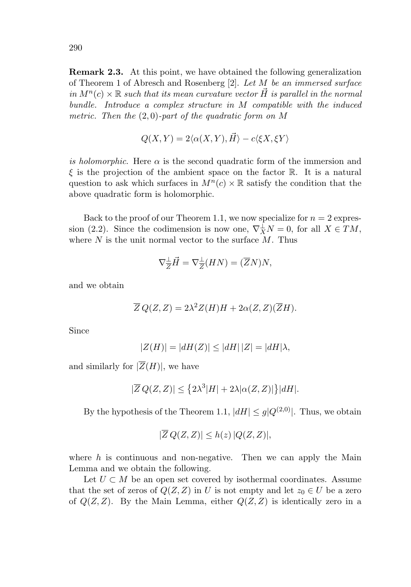**Remark 2.3.** At this point, we have obtained the following generalization of Theorem 1 of Abresch and Rosenberg [2]. Let M be an immersed surface in  $M^n(c) \times \mathbb{R}$  such that its mean curvature vector H is parallel in the normal bundle. Introduce a complex structure in M compatible with the induced metric. Then the  $(2,0)$ -part of the quadratic form on M

$$
Q(X,Y) = 2\langle \alpha(X,Y), \vec{H} \rangle - c\langle \xi X, \xi Y \rangle
$$

is holomorphic. Here  $\alpha$  is the second quadratic form of the immersion and  $\xi$  is the projection of the ambient space on the factor R. It is a natural question to ask which surfaces in  $M^n(c) \times \mathbb{R}$  satisfy the condition that the above quadratic form is holomorphic.

Back to the proof of our Theorem 1.1, we now specialize for  $n = 2$  expression (2.2). Since the codimension is now one,  $\nabla_X^{\perp}N=0$ , for all  $X \in TM$ , where  $N$  is the unit normal vector to the surface  $M$ . Thus

$$
\nabla_{\overline{Z}}^{\perp} \vec{H} = \nabla_{\overline{Z}}^{\perp}(HN) = (\overline{Z}N)N,
$$

and we obtain

$$
\overline{Z} Q(Z,Z) = 2\lambda^2 Z(H)H + 2\alpha(Z,Z)(\overline{Z}H).
$$

Since

$$
|Z(H)| = |dH(Z)| \le |dH||Z| = |dH|\lambda,
$$

and similarly for  $|\overline{Z}(H)|$ , we have

$$
|\overline{Z} Q(Z,Z)| \leq \left\{ 2\lambda^3 |H| + 2\lambda |\alpha(Z,Z)| \right\} |dH|.
$$

By the hypothesis of the Theorem 1.1,  $|dH| \leq g|Q^{(2,0)}|$ . Thus, we obtain

$$
|\overline{Z}Q(Z,Z)| \leq h(z) |Q(Z,Z)|,
$$

where  $h$  is continuous and non-negative. Then we can apply the Main Lemma and we obtain the following.

Let  $U \subset M$  be an open set covered by isothermal coordinates. Assume that the set of zeros of  $Q(Z, Z)$  in U is not empty and let  $z_0 \in U$  be a zero of  $Q(Z, Z)$ . By the Main Lemma, either  $Q(Z, Z)$  is identically zero in a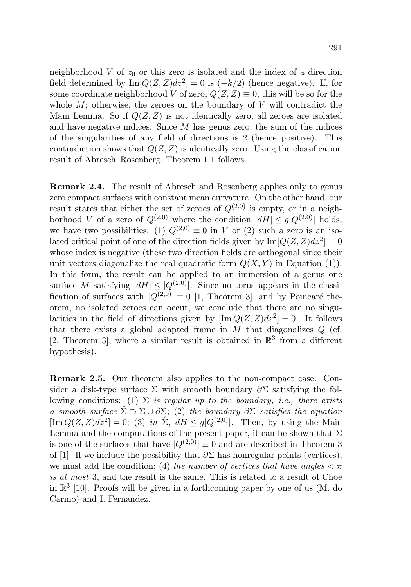neighborhood  $V$  of  $z_0$  or this zero is isolated and the index of a direction field determined by  $\text{Im}[Q(Z,Z)dz^2] = 0$  is  $(-k/2)$  (hence negative). If, for some coordinate neighborhood V of zero,  $Q(Z, Z) \equiv 0$ , this will be so for the whole  $M$ ; otherwise, the zeroes on the boundary of  $V$  will contradict the Main Lemma. So if  $Q(Z, Z)$  is not identically zero, all zeroes are isolated and have negative indices. Since  $M$  has genus zero, the sum of the indices of the singularities of any field of directions is 2 (hence positive). This contradiction shows that  $Q(Z, Z)$  is identically zero. Using the classification result of Abresch–Rosenberg, Theorem 1.1 follows.

**Remark 2.4.** The result of Abresch and Rosenberg applies only to genus zero compact surfaces with constant mean curvature. On the other hand, our result states that either the set of zeroes of  $Q^{(2,0)}$  is empty, or in a neighborhood V of a zero of  $Q^{(2,0)}$  where the condition  $|dH| \leq g|Q^{(2,0)}|$  holds, we have two possibilities: (1)  $Q^{(2,0)} \equiv 0$  in V or (2) such a zero is an isolated critical point of one of the direction fields given by  $\text{Im}[Q(Z,Z)dz^2]=0$ whose index is negative (these two direction fields are orthogonal since their unit vectors diagonalize the real quadratic form  $Q(X, Y)$  in Equation (1)). In this form, the result can be applied to an immersion of a genus one surface M satisfying  $|dH| \leq |Q^{(2,0)}|$ . Since no torus appears in the classification of surfaces with  $|Q^{(2,0)}| \equiv 0$  [1, Theorem 3], and by Poincaré theorem, no isolated zeroes can occur, we conclude that there are no singularities in the field of directions given by  $[\text{Im }Q(Z,Z)dz^2]=0$ . It follows that there exists a global adapted frame in  $M$  that diagonalizes  $Q$  (cf. [2, Theorem 3], where a similar result is obtained in  $\mathbb{R}^3$  from a different hypothesis).

**Remark 2.5.** Our theorem also applies to the non-compact case. Consider a disk-type surface  $\Sigma$  with smooth boundary  $\partial \Sigma$  satisfying the following conditions: (1)  $\Sigma$  is regular up to the boundary, i.e., there exists a smooth surface  $\hat{\Sigma} \supset \Sigma \cup \partial \Sigma$ ; (2) the boundary  $\partial \Sigma$  satisfies the equation  $[\text{Im }Q(Z,Z)dz^2]=0$ ; (3) in  $\Sigma$ ,  $dH \leq q|Q^{(2,0)}|$ . Then, by using the Main Lemma and the computations of the present paper, it can be shown that  $\Sigma$ is one of the surfaces that have  $|Q^{(2,0)}| \equiv 0$  and are described in Theorem 3 of [1]. If we include the possibility that  $\partial \Sigma$  has nonregular points (vertices), we must add the condition; (4) the number of vertices that have angles  $\lt \pi$ is at most 3, and the result is the same. This is related to a result of Choe in  $\mathbb{R}^3$  [10]. Proofs will be given in a forthcoming paper by one of us (M. do Carmo) and I. Fernandez.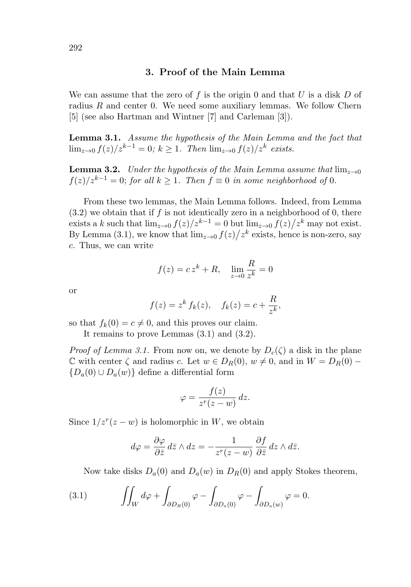### **3. Proof of the Main Lemma**

We can assume that the zero of f is the origin 0 and that U is a disk D of radius  $R$  and center 0. We need some auxiliary lemmas. We follow Chern [5] (see also Hartman and Wintner [7] and Carleman [3]).

**Lemma 3.1.** Assume the hypothesis of the Main Lemma and the fact that  $\lim_{z\to 0} f(z)/z^{k-1} = 0$ ;  $k \geq 1$ . Then  $\lim_{z\to 0} f(z)/z^k$  exists.

**Lemma 3.2.** Under the hypothesis of the Main Lemma assume that  $\lim_{z\to 0}$  $f(z)/z^{k-1} = 0$ ; for all  $k \ge 1$ . Then  $f \equiv 0$  in some neighborhood of 0.

From these two lemmas, the Main Lemma follows. Indeed, from Lemma  $(3.2)$  we obtain that if f is not identically zero in a neighborhood of 0, there exists a k such that  $\lim_{z\to 0} f(z)/z^{k-1} = 0$  but  $\lim_{z\to 0} f(z)/z^k$  may not exist. By Lemma (3.1), we know that  $\lim_{z\to 0} f(z)/z^k$  exists, hence is non-zero, say c. Thus, we can write

$$
f(z) = c zk + R, \quad \lim_{z \to 0} \frac{R}{z^k} = 0
$$

or

$$
f(z) = zk fk(z), \quad fk(z) = c + \frac{R}{zk},
$$

so that  $f_k(0) = c \neq 0$ , and this proves our claim.

It remains to prove Lemmas (3.1) and (3.2).

*Proof of Lemma 3.1.* From now on, we denote by  $D_c(\zeta)$  a disk in the plane  $\mathbb C$  with center  $\zeta$  and radius c. Let  $w \in D_R(0), w \neq 0$ , and in  $W = D_R(0)$  –  ${D_a(0) \cup D_a(w)}$  define a differential form

$$
\varphi = \frac{f(z)}{z^r(z - w)} dz.
$$

Since  $1/z^r(z-w)$  is holomorphic in W, we obtain

$$
d\varphi = \frac{\partial \varphi}{\partial \bar{z}} d\bar{z} \wedge dz = -\frac{1}{z^r(z-w)} \frac{\partial f}{\partial \bar{z}} dz \wedge d\bar{z}.
$$

Now take disks  $D_a(0)$  and  $D_a(w)$  in  $D_R(0)$  and apply Stokes theorem,

(3.1) 
$$
\iint_W d\varphi + \int_{\partial D_R(0)} \varphi - \int_{\partial D_a(0)} \varphi - \int_{\partial D_a(w)} \varphi = 0.
$$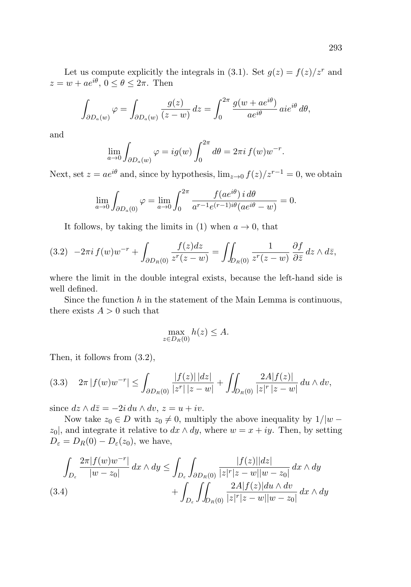Let us compute explicitly the integrals in (3.1). Set  $g(z) = f(z)/z^r$  and  $z = w + ae^{i\theta}, 0 \le \theta \le 2\pi$ . Then

$$
\int_{\partial D_a(w)} \varphi = \int_{\partial D_a(w)} \frac{g(z)}{(z-w)} dz = \int_0^{2\pi} \frac{g(w + ae^{i\theta})}{ae^{i\theta}} aie^{i\theta} d\theta,
$$

and

$$
\lim_{a \to 0} \int_{\partial D_a(w)} \varphi = ig(w) \int_0^{2\pi} d\theta = 2\pi i f(w) w^{-r}.
$$

Next, set  $z = ae^{i\theta}$  and, since by hypothesis,  $\lim_{z\to 0} f(z)/z^{r-1} = 0$ , we obtain

$$
\lim_{a \to 0} \int_{\partial D_a(0)} \varphi = \lim_{a \to 0} \int_0^{2\pi} \frac{f(a e^{i\theta}) i d\theta}{a^{r-1} e^{(r-1)i\theta} (a e^{i\theta} - w)} = 0.
$$

It follows, by taking the limits in (1) when  $a \to 0$ , that

$$
(3.2) \t-2\pi i f(w)w^{-r} + \int_{\partial D_R(0)} \frac{f(z)dz}{z^r(z-w)} = \iint_{D_R(0)} \frac{1}{z^r(z-w)} \frac{\partial f}{\partial \bar{z}} dz \wedge d\bar{z},
$$

where the limit in the double integral exists, because the left-hand side is well defined.

Since the function  $h$  in the statement of the Main Lemma is continuous, there exists  $A > 0$  such that

$$
\max_{z \in D_R(0)} h(z) \le A.
$$

Then, it follows from (3.2),

$$
(3.3) \quad 2\pi \left| f(w)w^{-r} \right| \leq \int_{\partial D_R(0)} \frac{|f(z)| \, |dz|}{|z^r| \, |z-w|} + \iint_{D_R(0)} \frac{2A|f(z)|}{|z|^r \, |z-w|} \, du \wedge dv,
$$

since  $dz \wedge d\overline{z} = -2i du \wedge dv, z = u + iv.$ 

Now take  $z_0 \in D$  with  $z_0 \neq 0$ , multiply the above inequality by  $1/|w$  $z_0$ , and integrate it relative to  $dx \wedge dy$ , where  $w = x + iy$ . Then, by setting  $D_{\varepsilon} = D_R(0) - D_{\varepsilon}(z_0)$ , we have,

$$
\int_{D_{\varepsilon}} \frac{2\pi |f(w)w^{-r}|}{|w - z_0|} dx \wedge dy \le \int_{D_{\varepsilon}} \int_{\partial D_R(0)} \frac{|f(z)||dz|}{|z|^r |z - w||w - z_0|} dx \wedge dy + \int_{D_{\varepsilon}} \int_{D_R(0)} \frac{2A|f(z)|du \wedge dv}{|z|^r |z - w||w - z_0|} dx \wedge dy
$$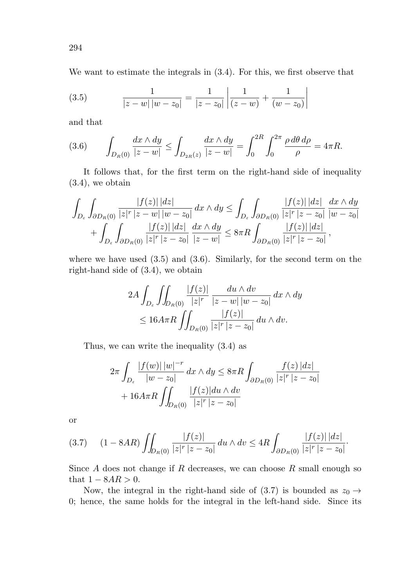We want to estimate the integrals in (3.4). For this, we first observe that

(3.5) 
$$
\frac{1}{|z-w||w-z_0|} = \frac{1}{|z-z_0|} \left| \frac{1}{(z-w)} + \frac{1}{(w-z_0)} \right|
$$

and that

(3.6) 
$$
\int_{D_R(0)} \frac{dx \wedge dy}{|z - w|} \le \int_{D_{2R}(z)} \frac{dx \wedge dy}{|z - w|} = \int_0^{2R} \int_0^{2\pi} \frac{\rho \, d\theta \, d\rho}{\rho} = 4\pi R.
$$

It follows that, for the first term on the right-hand side of inequality (3.4), we obtain

$$
\int_{D_{\varepsilon}} \int_{\partial D_R(0)} \frac{|f(z)| \, |dz|}{|z|^r |z - w| \, |w - z_0|} \, dx \wedge dy \le \int_{D_{\varepsilon}} \int_{\partial D_R(0)} \frac{|f(z)| \, |dz|}{|z|^r |z - z_0|} \, \frac{dx \wedge dy}{|w - z_0|} + \int_{D_{\varepsilon}} \int_{\partial D_R(0)} \frac{|f(z)| \, |dz|}{|z|^r |z - z_0|} \, \frac{dx \wedge dy}{|z - w|} \le 8\pi R \int_{\partial D_R(0)} \frac{|f(z)| \, |dz|}{|z|^r |z - z_0|},
$$

where we have used  $(3.5)$  and  $(3.6)$ . Similarly, for the second term on the right-hand side of (3.4), we obtain

$$
2A \int_{D_{\varepsilon}} \iint_{D_R(0)} \frac{|f(z)|}{|z|^r} \frac{du \wedge dv}{|z - w||w - z_0|} dx \wedge dy
$$
  

$$
\leq 16A\pi R \iint_{D_R(0)} \frac{|f(z)|}{|z|^r |z - z_0|} du \wedge dv.
$$

Thus, we can write the inequality (3.4) as

$$
2\pi \int_{D_{\varepsilon}} \frac{|f(w)| \, |w|^{-r}}{|w - z_0|} \, dx \wedge dy \leq 8\pi R \int_{\partial D_R(0)} \frac{f(z) \, |dz|}{|z|^r \, |z - z_0|} + 16A\pi R \int_{D_R(0)} \frac{|f(z)| du \wedge dv}{|z|^r \, |z - z_0|}
$$

or

$$
(3.7) \t(1-8AR)\iint_{D_R(0)}\frac{|f(z)|}{|z|^r\,|z-z_0|}\,du\wedge dv \le 4R\int_{\partial D_R(0)}\frac{|f(z)|\,|dz|}{|z|^r\,|z-z_0|}.
$$

Since  $A$  does not change if  $R$  decreases, we can choose  $R$  small enough so that  $1 - 8AR > 0$ .

Now, the integral in the right-hand side of (3.7) is bounded as  $z_0 \rightarrow$ 0; hence, the same holds for the integral in the left-hand side. Since its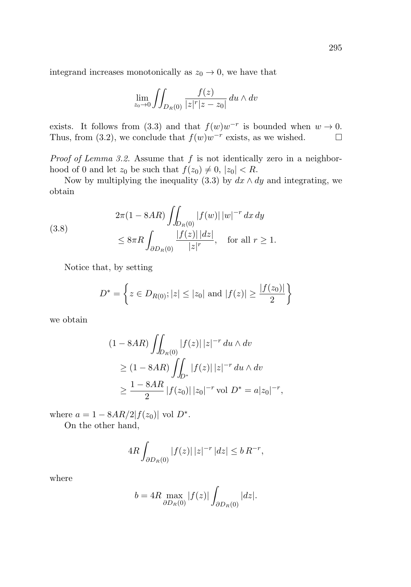integrand increases monotonically as  $z_0 \to 0$ , we have that

$$
\lim_{z_0 \to 0} \iint_{D_R(0)} \frac{f(z)}{|z|^r |z - z_0|} du \wedge dv
$$

exists. It follows from (3.3) and that  $f(w)w^{-r}$  is bounded when  $w \to 0$ . Thus, from (3.2), we conclude that  $f(w)w^{-r}$  exists, as we wished.  $\Box$ 

*Proof of Lemma 3.2.* Assume that  $f$  is not identically zero in a neighborhood of 0 and let  $z_0$  be such that  $f(z_0) \neq 0, |z_0| < R$ .

Now by multiplying the inequality (3.3) by  $dx \wedge dy$  and integrating, we obtain

(3.8) 
$$
2\pi (1 - 8AR) \iint_{D_R(0)} |f(w)| |w|^{-r} dx dy
$$

$$
\leq 8\pi R \int_{\partial D_R(0)} \frac{|f(z)| |dz|}{|z|^r}, \text{ for all } r \geq 1.
$$

Notice that, by setting

$$
D^* = \left\{ z \in D_{R(0)}; |z| \le |z_0| \text{ and } |f(z)| \ge \frac{|f(z_0)|}{2} \right\}
$$

we obtain

$$
(1 - 8AR) \iint_{D_R(0)} |f(z)| |z|^{-r} du \wedge dv
$$
  
\n
$$
\geq (1 - 8AR) \iint_{D^*} |f(z)| |z|^{-r} du \wedge dv
$$
  
\n
$$
\geq \frac{1 - 8AR}{2} |f(z_0)| |z_0|^{-r} \text{ vol } D^* = a|z_0|^{-r},
$$

where  $a = 1 - 8AR/2|f(z_0)|$  vol  $D^*$ .

On the other hand,

$$
4R \int_{\partial D_R(0)} |f(z)| \, |z|^{-r} \, |dz| \le b \, R^{-r},
$$

where

$$
b = 4R \max_{\partial D_R(0)} |f(z)| \int_{\partial D_R(0)} |dz|.
$$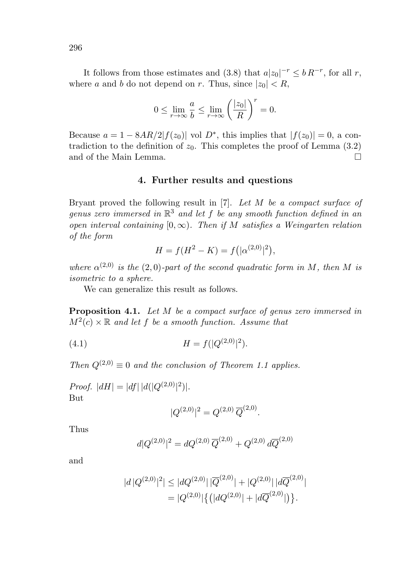It follows from those estimates and (3.8) that  $a|z_0|^{-r} \leq b R^{-r}$ , for all r, where a and b do not depend on r. Thus, since  $|z_0| < R$ ,

$$
0 \le \lim_{r \to \infty} \frac{a}{b} \le \lim_{r \to \infty} \left(\frac{|z_0|}{R}\right)^r = 0.
$$

Because  $a = 1 - 8AR/2|f(z_0)|$  vol  $D^*$ , this implies that  $|f(z_0)| = 0$ , a contradiction to the definition of  $z_0$ . This completes the proof of Lemma (3.2) and of the Main Lemma.  $\square$ 

#### **4. Further results and questions**

Bryant proved the following result in [7]. Let M be a compact surface of genus zero immersed in  $\mathbb{R}^3$  and let f be any smooth function defined in an open interval containing  $[0, \infty)$ . Then if M satisfies a Weingarten relation of the form

$$
H = f(H^{2} - K) = f(|\alpha^{(2,0)}|^{2}),
$$

where  $\alpha^{(2,0)}$  is the (2,0)-part of the second quadratic form in M, then M is isometric to a sphere.

We can generalize this result as follows.

**Proposition 4.1.** Let M be a compact surface of genus zero immersed in  $M^2(c) \times \mathbb{R}$  and let f be a smooth function. Assume that

(4.1) 
$$
H = f(|Q^{(2,0)}|^2).
$$

Then  $Q^{(2,0)} \equiv 0$  and the conclusion of Theorem 1.1 applies.

*Proof.*  $|dH| = |df| |d(|Q^{(2,0)}|^2)|$ . But

$$
|Q^{(2,0)}|^2 = Q^{(2,0)} \,\overline{Q}^{(2,0)}.
$$

Thus

$$
d|Q^{(2,0)}|^2 = dQ^{(2,0)}\,\overline{Q}^{(2,0)} + Q^{(2,0)}\,d\overline{Q}^{(2,0)}
$$

and

$$
|d|Q^{(2,0)}|^2| \le |dQ^{(2,0)}| \, |\overline{Q}^{(2,0)}| + |Q^{(2,0)}| \, |d\overline{Q}^{(2,0)}|
$$
  
= 
$$
|Q^{(2,0)}| \{ (|dQ^{(2,0)}| + |d\overline{Q}^{(2,0)}|) \}.
$$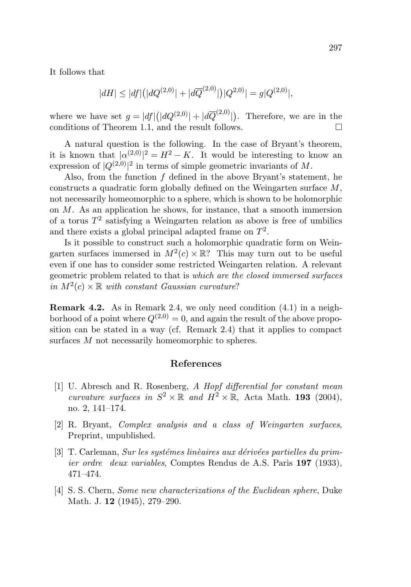It follows that

$$
|dH| \le |df| (|dQ^{(2,0)}| + |d\overline{Q}^{(2,0)}|) |Q^{(2,0)}| = g|Q^{(2,0)}|,
$$

where we have set  $g = |df|(|dQ^{(2,0)}| + |d\overline{Q}^{(2,0)}|)$ . Therefore, we are in the conditions of Theorem 1.1, and the result follows.  $\Box$ 

A natural question is the following. In the case of Bryant's theorem, it is known that  $|\alpha^{(2,0)}|^2 = H^2 - K$ . It would be interesting to know an expression of  $|Q^{(2,0)}|^2$  in terms of simple geometric invariants of M.

Also, from the function  $f$  defined in the above Bryant's statement, he constructs a quadratic form globally defined on the Weingarten surface M, not necessarily homeomorphic to a sphere, which is shown to be holomorphic on  $M$ . As an application he shows, for instance, that a smooth immersion of a torus  $T^2$  satisfying a Weingarten relation as above is free of umbilics and there exists a global principal adapted frame on  $T^2$ .

Is it possible to construct such a holomorphic quadratic form on Weingarten surfaces immersed in  $M^2(c) \times \mathbb{R}$ ? This may turn out to be useful even if one has to consider some restricted Weingarten relation. A relevant geometric problem related to that is which are the closed immersed surfaces in  $M^2(c) \times \mathbb{R}$  with constant Gaussian curvature?

**Remark 4.2.** As in Remark 2.4, we only need condition (4.1) in a neighborhood of a point where  $Q^{(2,0)} = 0$ , and again the result of the above proposition can be stated in a way (cf. Remark 2.4) that it applies to compact surfaces M not necessarily homeomorphic to spheres.

#### **References**

- [1] U. Abresch and R. Rosenberg, A Hopf differential for constant mean curvature surfaces in  $S^2 \times \mathbb{R}$  and  $H^2 \times \mathbb{R}$ , Acta Math. **193** (2004), no. 2, 141–174.
- [2] R. Bryant, Complex analysis and a class of Weingarten surfaces, Preprint, unpublished.
- $[3]$  T. Carleman, *Sur les systèmes linèaires aux dérivées partielles du prim*ier ordre deux variables, Comptes Rendus de A.S. Paris **197** (1933), 471–474.
- [4] S. S. Chern, Some new characterizations of the Euclidean sphere, Duke Math. J. **12** (1945), 279–290.